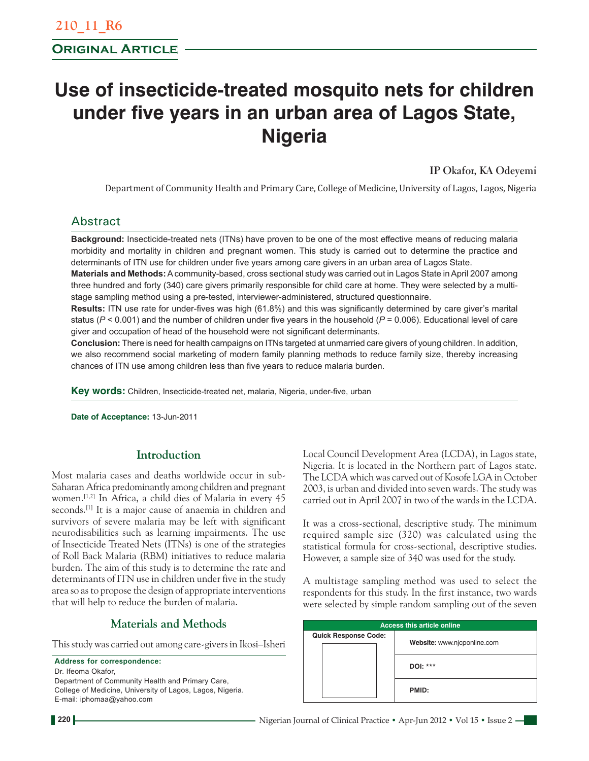# **Use of insecticide-treated mosquito nets for children under five years in an urban area of Lagos State, Nigeria**

**IP Okafor, KA Odeyemi**

Department of Community Health and Primary Care, College of Medicine, University of Lagos, Lagos, Nigeria

# Abstract

**Background:** Insecticide-treated nets (ITNs) have proven to be one of the most effective means of reducing malaria morbidity and mortality in children and pregnant women. This study is carried out to determine the practice and determinants of ITN use for children under five years among care givers in an urban area of Lagos State.

**Materials and Methods:** A community-based, cross sectional study was carried out in Lagos State in April 2007 among three hundred and forty (340) care givers primarily responsible for child care at home. They were selected by a multistage sampling method using a pre-tested, interviewer-administered, structured questionnaire.

**Results:** ITN use rate for under-fives was high (61.8%) and this was significantly determined by care giver's marital status ( $P < 0.001$ ) and the number of children under five years in the household ( $P = 0.006$ ). Educational level of care giver and occupation of head of the household were not significant determinants.

**Conclusion:** There is need for health campaigns on ITNs targeted at unmarried care givers of young children. In addition, we also recommend social marketing of modern family planning methods to reduce family size, thereby increasing chances of ITN use among children less than five years to reduce malaria burden.

**Key words:** Children, Insecticide-treated net, malaria, Nigeria, under-five, urban

**Date of Acceptance:** 13-Jun-2011

### **Introduction**

Most malaria cases and deaths worldwide occur in sub-Saharan Africa predominantly among children and pregnant women.[1,2] In Africa, a child dies of Malaria in every 45 seconds.<sup>[1]</sup> It is a major cause of anaemia in children and survivors of severe malaria may be left with significant neurodisabilities such as learning impairments. The use of Insecticide Treated Nets (ITNs) is one of the strategies of Roll Back Malaria (RBM) initiatives to reduce malaria burden. The aim of this study is to determine the rate and determinants of ITN use in children under five in the study area so as to propose the design of appropriate interventions that will help to reduce the burden of malaria.

# **Materials and Methods**

This study was carried out among care-givers in Ikosi–Isheri

**Address for correspondence:** Dr. Ifeoma Okafor, Department of Community Health and Primary Care, College of Medicine, University of Lagos, Lagos, Nigeria. E-mail: iphomaa@yahoo.com

Local Council Development Area (LCDA), in Lagos state, Nigeria. It is located in the Northern part of Lagos state. The LCDA which was carved out of Kosofe LGA in October 2003, is urban and divided into seven wards. The study was carried out in April 2007 in two of the wards in the LCDA.

It was a cross-sectional, descriptive study. The minimum required sample size (320) was calculated using the statistical formula for cross-sectional, descriptive studies. However, a sample size of 340 was used for the study.

A multistage sampling method was used to select the respondents for this study. In the first instance, two wards were selected by simple random sampling out of the seven

| <b>Access this article online</b> |                             |  |  |  |
|-----------------------------------|-----------------------------|--|--|--|
| <b>Quick Response Code:</b>       | Website: www.njcponline.com |  |  |  |
|                                   | DOI: ***                    |  |  |  |
|                                   | PMID:                       |  |  |  |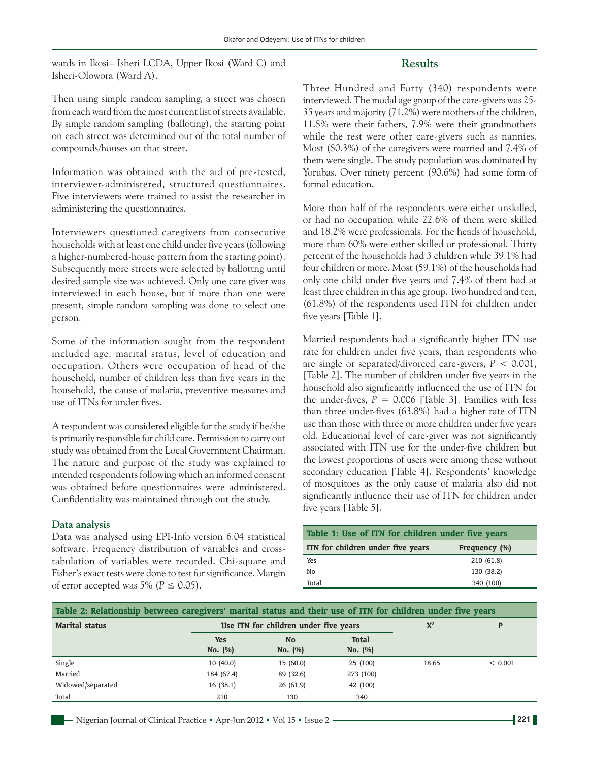wards in Ikosi– Isheri LCDA, Upper Ikosi (Ward C) and Isheri-Olowora (Ward A).

#### **Results**

Then using simple random sampling, a street was chosen from each ward from the most current list of streets available. By simple random sampling (balloting), the starting point on each street was determined out of the total number of compounds/houses on that street.

Information was obtained with the aid of pre-tested, interviewer-administered, structured questionnaires. Five interviewers were trained to assist the researcher in administering the questionnaires.

Interviewers questioned caregivers from consecutive households with at least one child under five years (following a higher-numbered-house pattern from the starting point). Subsequently more streets were selected by ballottng until desired sample size was achieved. Only one care giver was interviewed in each house, but if more than one were present, simple random sampling was done to select one person.

Some of the information sought from the respondent included age, marital status, level of education and occupation. Others were occupation of head of the household, number of children less than five years in the household, the cause of malaria, preventive measures and use of ITNs for under fives.

A respondent was considered eligible for the study if he/she is primarily responsible for child care. Permission to carry out study was obtained from the Local Government Chairman. The nature and purpose of the study was explained to intended respondents following which an informed consent was obtained before questionnaires were administered. Confidentiality was maintained through out the study.

#### **Data analysis**

Data was analysed using EPI-Info version 6.04 statistical software. Frequency distribution of variables and crosstabulation of variables were recorded. Chi-square and Fisher's exact tests were done to test for significance. Margin of error accepted was 5% ( $P \le 0.05$ ).

Three Hundred and Forty (340) respondents were interviewed. The modal age group of the care-givers was 25- 35 years and majority (71.2%) were mothers of the children, 11.8% were their fathers, 7.9% were their grandmothers while the rest were other care-givers such as nannies. Most (80.3%) of the caregivers were married and 7.4% of them were single. The study population was dominated by Yorubas. Over ninety percent (90.6%) had some form of formal education.

More than half of the respondents were either unskilled, or had no occupation while 22.6% of them were skilled and 18.2% were professionals. For the heads of household, more than 60% were either skilled or professional. Thirty percent of the households had 3 children while 39.1% had four children or more. Most (59.1%) of the households had only one child under five years and 7.4% of them had at least three children in this age group. Two hundred and ten, (61.8%) of the respondents used ITN for children under five years [Table 1].

Married respondents had a significantly higher ITN use rate for children under five years, than respondents who are single or separated/divorced care-givers, *P* < 0.001, [Table 2]. The number of children under five years in the household also significantly influenced the use of ITN for the under-fives,  $P = 0.006$  [Table 3]. Families with less than three under-fives (63.8%) had a higher rate of ITN use than those with three or more children under five years old. Educational level of care-giver was not significantly associated with ITN use for the under-five children but the lowest proportions of users were among those without secondary education [Table 4]. Respondents' knowledge of mosquitoes as the only cause of malaria also did not significantly influence their use of ITN for children under five years [Table 5].

| Table 1: Use of ITN for children under five years |               |  |  |  |
|---------------------------------------------------|---------------|--|--|--|
| ITN for children under five years                 | Frequency (%) |  |  |  |
| Yes                                               | 210 (61.8)    |  |  |  |
| No                                                | 130 (38.2)    |  |  |  |
| Total                                             | 340 (100)     |  |  |  |

| Table 2: Relationship between caregivers' marital status and their use of ITN for children under five years |            |                                       |                |       |         |
|-------------------------------------------------------------------------------------------------------------|------------|---------------------------------------|----------------|-------|---------|
| <b>Marital status</b>                                                                                       |            | Use ITN for children under five years | $\mathbf{X}^2$ |       |         |
|                                                                                                             | <b>Yes</b> | <b>No</b>                             | <b>Total</b>   |       |         |
|                                                                                                             | No. (%)    | No. (%)                               | No. (%)        |       |         |
| Single                                                                                                      | 10(40.0)   | 15(60.0)                              | 25 (100)       | 18.65 | < 0.001 |
| Married                                                                                                     | 184 (67.4) | 89 (32.6)                             | 273 (100)      |       |         |
| Widowed/separated                                                                                           | 16(38.1)   | 26(61.9)                              | 42 (100)       |       |         |
| Total                                                                                                       | 210        | 130                                   | 340            |       |         |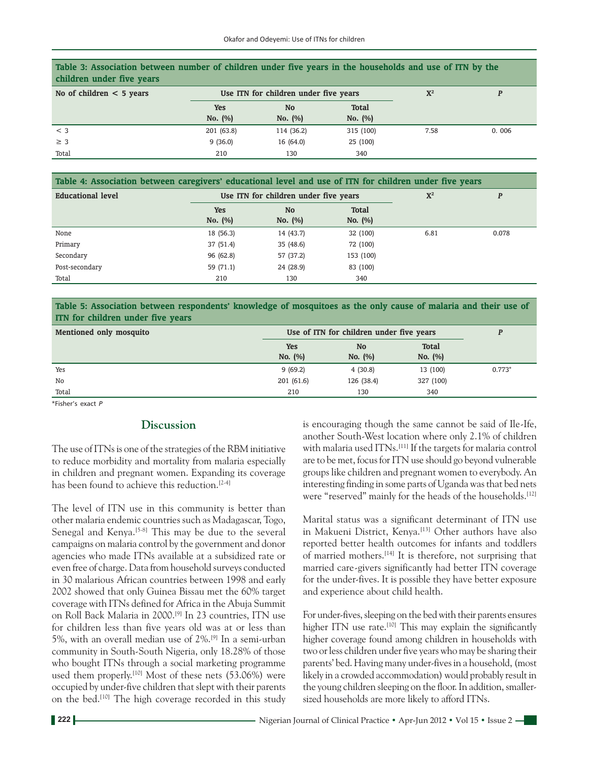| Table 3: Association between number of children under five years in the households and use of ITN by the<br>children under five years |                                       |            |              |                |       |  |
|---------------------------------------------------------------------------------------------------------------------------------------|---------------------------------------|------------|--------------|----------------|-------|--|
| No of children $<$ 5 years                                                                                                            | Use ITN for children under five years |            |              | $\mathbf{X}^2$ |       |  |
|                                                                                                                                       | <b>Yes</b>                            | <b>No</b>  | <b>Total</b> |                |       |  |
|                                                                                                                                       | No. (%)                               | No. (%)    | No. (%)      |                |       |  |
| $<$ 3                                                                                                                                 | 201 (63.8)                            | 114 (36.2) | 315 (100)    | 7.58           | 0.006 |  |
| $\geq$ 3                                                                                                                              | 9(36.0)                               | 16(64.0)   | 25 (100)     |                |       |  |
| Total                                                                                                                                 | 210                                   | 130        | 340          |                |       |  |

**Table 4: Association between caregivers' educational level and use of ITN for children under five years**

| Use ITN for children under five years |           |              | ${\bf X}^2$ | P     |
|---------------------------------------|-----------|--------------|-------------|-------|
| <b>Yes</b>                            | <b>No</b> | <b>Total</b> |             |       |
| No. (%)                               | No. $(%)$ | No. (%)      |             |       |
| 18 (56.3)                             | 14 (43.7) | 32 (100)     | 6.81        | 0.078 |
| 37(51.4)                              | 35 (48.6) | 72 (100)     |             |       |
| 96 (62.8)                             | 57 (37.2) | 153 (100)    |             |       |
| 59 (71.1)                             | 24 (28.9) | 83 (100)     |             |       |
| 210                                   | 130       | 340          |             |       |
|                                       |           |              |             |       |

**Table 5: Association between respondents' knowledge of mosquitoes as the only cause of malaria and their use of ITN for children under five years**

| Mentioned only mosquito | Use of ITN for children under five years |                      |                         |          |
|-------------------------|------------------------------------------|----------------------|-------------------------|----------|
|                         | <b>Yes</b><br>No. (%)                    | <b>No</b><br>No. (%) | <b>Total</b><br>No. (%) |          |
| Yes                     | 9(69.2)                                  | 4(30.8)              | 13 (100)                | $0.773*$ |
| No                      | 201(61.6)                                | 126 (38.4)           | 327 (100)               |          |
| Total                   | 210                                      | 130                  | 340                     |          |

\*Fisher's exact *P*

#### **Discussion**

The use of ITNs is one of the strategies of the RBM initiative to reduce morbidity and mortality from malaria especially in children and pregnant women. Expanding its coverage has been found to achieve this reduction.<sup>[2-4]</sup>

The level of ITN use in this community is better than other malaria endemic countries such as Madagascar, Togo, Senegal and Kenya.<sup>[5-8]</sup> This may be due to the several campaigns on malaria control by the government and donor agencies who made ITNs available at a subsidized rate or even free of charge. Data from household surveys conducted in 30 malarious African countries between 1998 and early 2002 showed that only Guinea Bissau met the 60% target coverage with ITNs defined for Africa in the Abuja Summit on Roll Back Malaria in 2000.[9] In 23 countries, ITN use for children less than five years old was at or less than 5%, with an overall median use of 2%.[9] In a semi-urban community in South-South Nigeria, only 18.28% of those who bought ITNs through a social marketing programme used them properly.<sup>[10]</sup> Most of these nets (53.06%) were occupied by under-five children that slept with their parents on the bed.[10] The high coverage recorded in this study is encouraging though the same cannot be said of Ile-Ife, another South-West location where only 2.1% of children with malaria used ITNs.<sup>[11]</sup> If the targets for malaria control are to be met, focus for ITN use should go beyond vulnerable groups like children and pregnant women to everybody. An interesting finding in some parts of Uganda was that bed nets were "reserved" mainly for the heads of the households.<sup>[12]</sup>

Marital status was a significant determinant of ITN use in Makueni District, Kenya.<sup>[13]</sup> Other authors have also reported better health outcomes for infants and toddlers of married mothers.[14] It is therefore, not surprising that married care-givers significantly had better ITN coverage for the under-fives. It is possible they have better exposure and experience about child health.

For under-fives, sleeping on the bed with their parents ensures higher ITN use rate.<sup>[10]</sup> This may explain the significantly higher coverage found among children in households with two or less children under five years who may be sharing their parents' bed. Having many under-fives in a household, (most likely in a crowded accommodation) would probably result in the young children sleeping on the floor. In addition, smallersized households are more likely to afford ITNs.